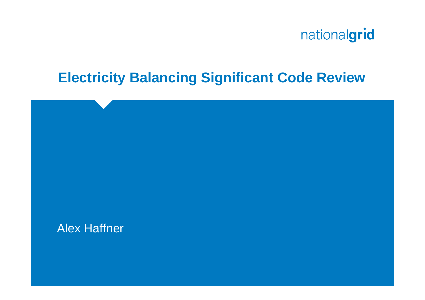

## **Electricity Balancing Significant Code Review**

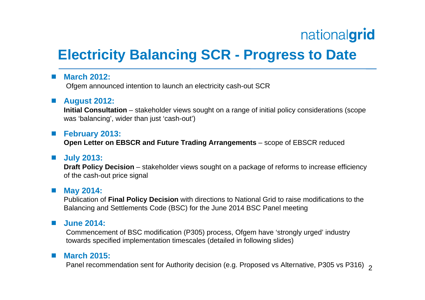## **Electricity Balancing SCR - Progress to Date**

#### F. **March 2012:**

Ofgem announced intention to launch an electricity cash-out SCR

## **August 2012:**

**Initial Consultation** – stakeholder views sought on a range of initial policy considerations (scope was 'balancing', wider than just 'cash-out')

## **February 2013:**

**Open Letter on EBSCR and Future Trading Arrangements** – scope of EBSCR reduced

## ■ July 2013:

**Draft Policy Decision** – stakeholder views sought on a package of reforms to increase efficiency of the cash-out price signal

#### ■ May 2014:

Publication of **Final Policy Decision** with directions to National Grid to raise modifications to the Balancing and Settlements Code (BSC) for the June 2014 BSC Panel meeting

#### $\mathcal{L}^{\text{max}}$ **June 2014:**

Commencement of BSC modification (P305) process, Ofgem have 'strongly urged' industry towards specified implementation timescales (detailed in following slides)

#### $\mathcal{L}_{\mathcal{A}}$ **March 2015:**

Panel recommendation sent for Authority decision (e.g. Proposed vs Alternative, P305 vs P316)  $\,{}_{2}$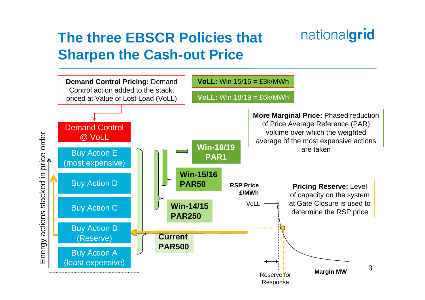## **The three EBSCR Policies that Sharpen the Cash-out Price**



nationalgrid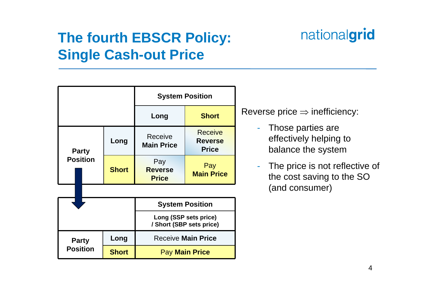## **The fourth EBSCR Policy: Single Cash-out Price**

#### **System Position Long Short Party PositionLong** Receive **Main Price** Receive **Reverse PriceShortPay Reverse PricePay Main PriceSystem Position Long (SSP sets price) / Short (SBP sets price) Party PositionLong | Receive Main Price Short**Pay **Main Price**

Reverse price  $\Rightarrow$  inefficiency:

- - Those parties are effectively helping to balance the system
- - The price is not reflective of the cost saving to the SO (and consumer)

# nationalgrid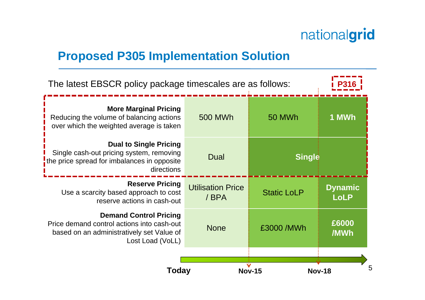## **Proposed P305 Implementation Solution**

| The latest EBSCR policy package timescales are as follows:                                                                                   |                                   |                    |                               |
|----------------------------------------------------------------------------------------------------------------------------------------------|-----------------------------------|--------------------|-------------------------------|
| <b>More Marginal Pricing</b><br>Reducing the volume of balancing actions<br>over which the weighted average is taken                         | 500 MWh                           | 50 MWh             | 1 MWh                         |
| <b>Dual to Single Pricing</b><br>Single cash-out pricing system, removing<br>the price spread for imbalances in opposite<br>directions       | Dual                              | <b>Single</b>      |                               |
| <b>Reserve Pricing</b><br>Use a scarcity based approach to cost<br>reserve actions in cash-out                                               | <b>Utilisation Price</b><br>/ BPA | <b>Static LoLP</b> | <b>Dynamic</b><br><b>LoLP</b> |
| <b>Demand Control Pricing</b><br>Price demand control actions into cash-out<br>based on an administratively set Value of<br>Lost Load (VoLL) | <b>None</b>                       | £3000 / MWh        | £6000<br>/MWh                 |
| 5<br>Today<br><b>Nov-18</b><br><b>Nov-15</b>                                                                                                 |                                   |                    |                               |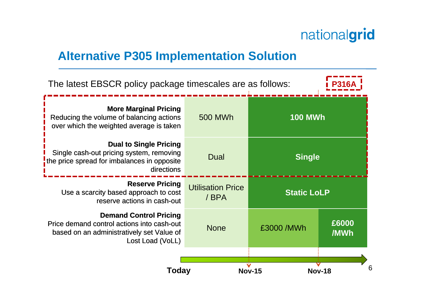## **Alternative P305 Implementation Solution**

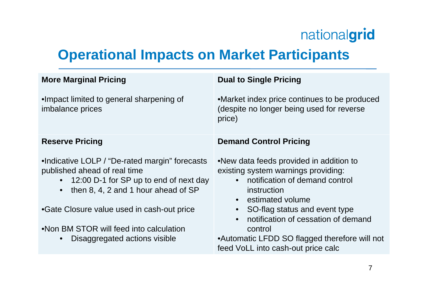## **Operational Impacts on Market Participants**

| •Market index price continues to be produced<br>(despite no longer being used for reverse<br>price)<br><b>Demand Control Pricing</b><br>.New data feeds provided in addition to<br>existing system warnings providing:<br>• notification of demand control<br>12:00 D-1 for SP up to end of next day<br>$\bullet$<br>then 8, 4, 2 and 1 hour ahead of SP<br>instruction<br>$\bullet$<br>• estimated volume<br>SO-flag status and event type<br>notification of cessation of demand<br>$\bullet$ | <b>More Marginal Pricing</b>                                                                                                                                            | <b>Dual to Single Pricing</b> |
|-------------------------------------------------------------------------------------------------------------------------------------------------------------------------------------------------------------------------------------------------------------------------------------------------------------------------------------------------------------------------------------------------------------------------------------------------------------------------------------------------|-------------------------------------------------------------------------------------------------------------------------------------------------------------------------|-------------------------------|
|                                                                                                                                                                                                                                                                                                                                                                                                                                                                                                 | •Impact limited to general sharpening of<br>imbalance prices                                                                                                            |                               |
|                                                                                                                                                                                                                                                                                                                                                                                                                                                                                                 | <b>Reserve Pricing</b>                                                                                                                                                  |                               |
| •Automatic LFDD SO flagged therefore will not<br>Disaggregated actions visible<br>$\bullet$<br>feed VoLL into cash-out price calc                                                                                                                                                                                                                                                                                                                                                               | •Indicative LOLP / "De-rated margin" forecasts<br>published ahead of real time<br>•Gate Closure value used in cash-out price<br>.Non BM STOR will feed into calculation | control                       |
|                                                                                                                                                                                                                                                                                                                                                                                                                                                                                                 |                                                                                                                                                                         |                               |